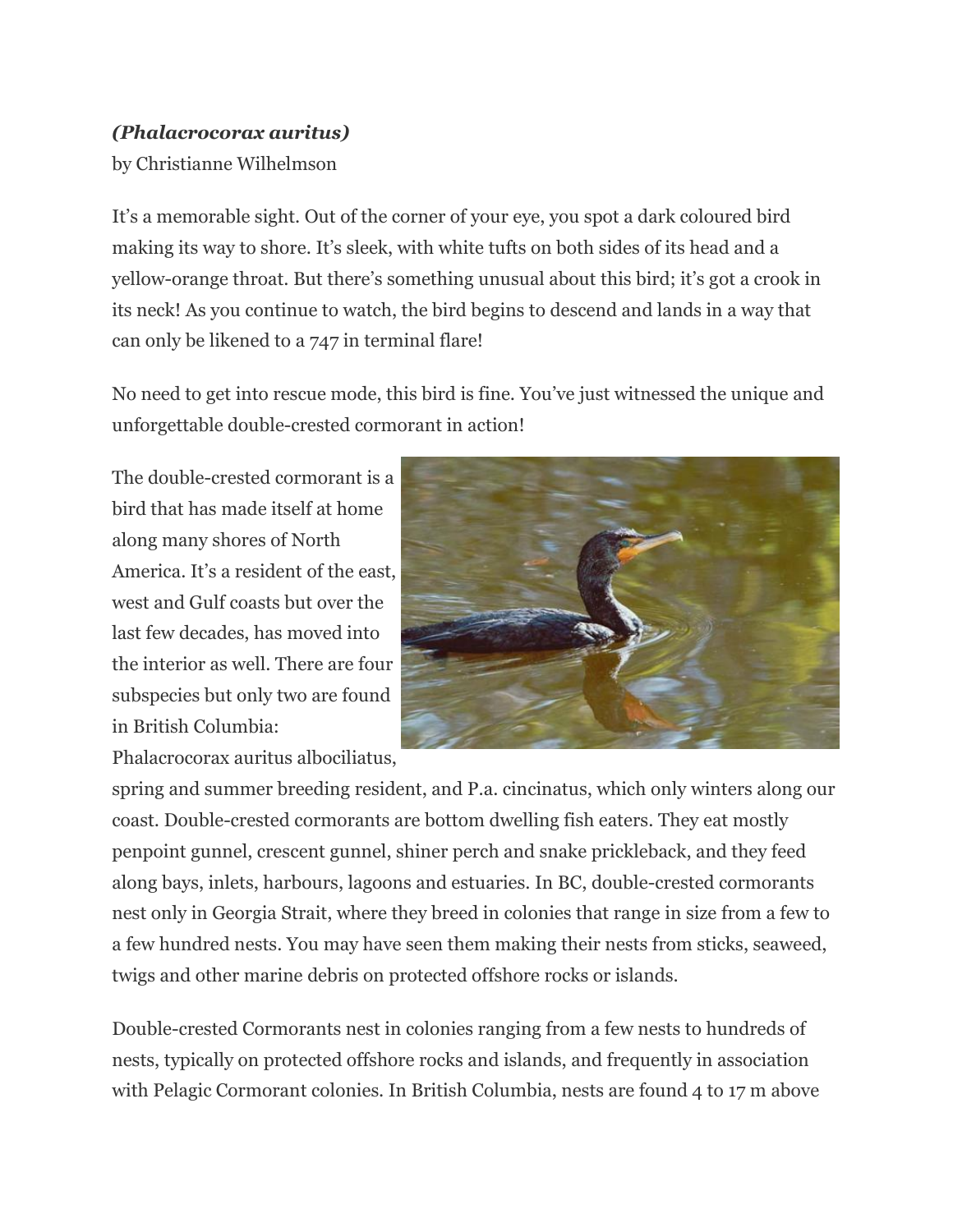## *(Phalacrocorax auritus)*

by Christianne Wilhelmson

It's a memorable sight. Out of the corner of your eye, you spot a dark coloured bird making its way to shore. It's sleek, with white tufts on both sides of its head and a yellow-orange throat. But there's something unusual about this bird; it's got a crook in its neck! As you continue to watch, the bird begins to descend and lands in a way that can only be likened to a 747 in terminal flare!

No need to get into rescue mode, this bird is fine. You've just witnessed the unique and unforgettable double-crested cormorant in action!

The double-crested cormorant is a bird that has made itself at home along many shores of North America. It's a resident of the east, west and Gulf coasts but over the last few decades, has moved into the interior as well. There are four subspecies but only two are found in British Columbia:



Phalacrocorax auritus albociliatus,

spring and summer breeding resident, and P.a. cincinatus, which only winters along our coast. Double-crested cormorants are bottom dwelling fish eaters. They eat mostly penpoint gunnel, crescent gunnel, shiner perch and snake prickleback, and they feed along bays, inlets, harbours, lagoons and estuaries. In BC, double-crested cormorants nest only in Georgia Strait, where they breed in colonies that range in size from a few to a few hundred nests. You may have seen them making their nests from sticks, seaweed, twigs and other marine debris on protected offshore rocks or islands.

Double-crested Cormorants nest in colonies ranging from a few nests to hundreds of nests, typically on protected offshore rocks and islands, and frequently in association with Pelagic Cormorant colonies. In British Columbia, nests are found 4 to 17 m above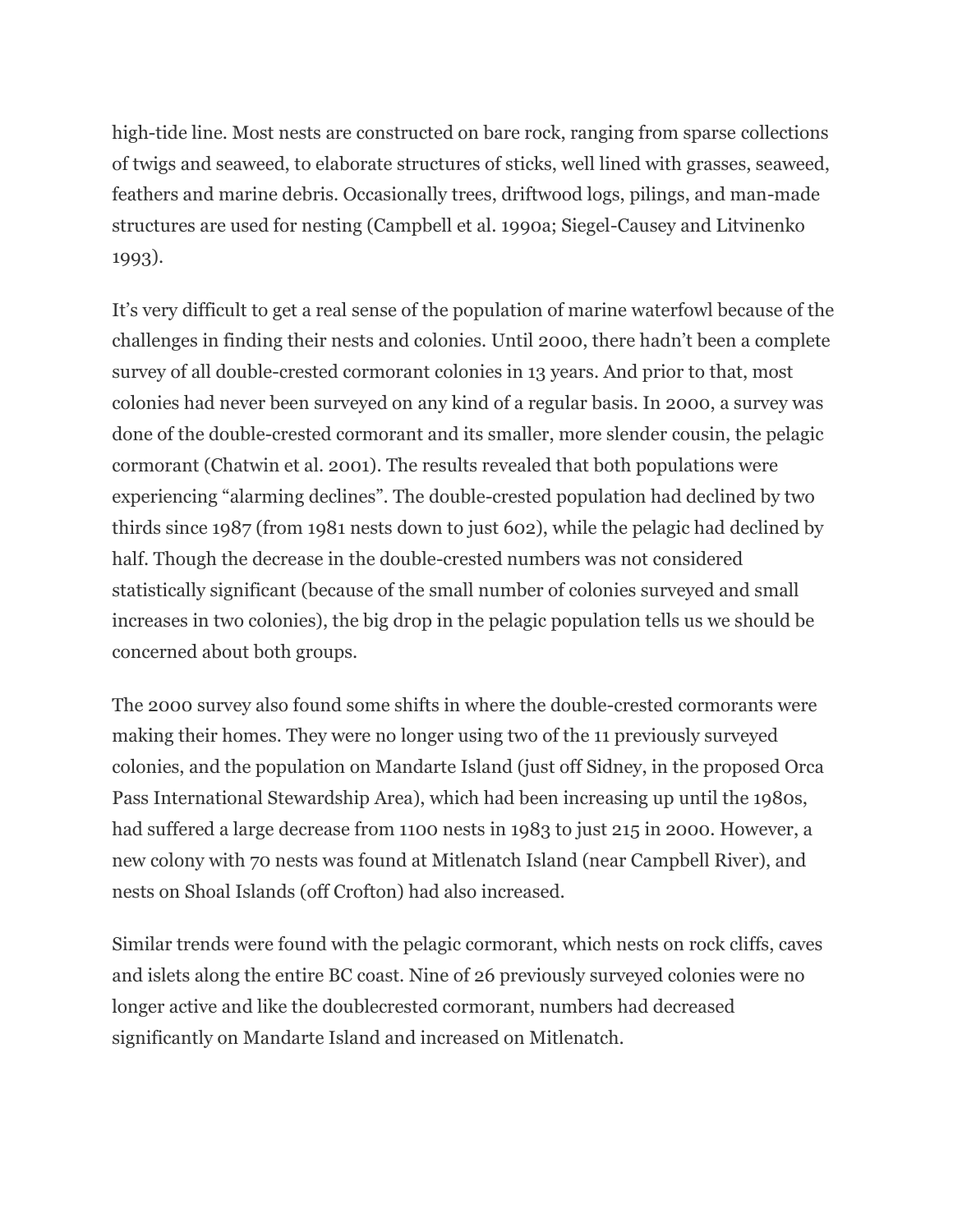high-tide line. Most nests are constructed on bare rock, ranging from sparse collections of twigs and seaweed, to elaborate structures of sticks, well lined with grasses, seaweed, feathers and marine debris. Occasionally trees, driftwood logs, pilings, and man-made structures are used for nesting (Campbell et al. 1990a; Siegel-Causey and Litvinenko 1993).

It's very difficult to get a real sense of the population of marine waterfowl because of the challenges in finding their nests and colonies. Until 2000, there hadn't been a complete survey of all double-crested cormorant colonies in 13 years. And prior to that, most colonies had never been surveyed on any kind of a regular basis. In 2000, a survey was done of the double-crested cormorant and its smaller, more slender cousin, the pelagic cormorant (Chatwin et al. 2001). The results revealed that both populations were experiencing "alarming declines". The double-crested population had declined by two thirds since 1987 (from 1981 nests down to just 602), while the pelagic had declined by half. Though the decrease in the double-crested numbers was not considered statistically significant (because of the small number of colonies surveyed and small increases in two colonies), the big drop in the pelagic population tells us we should be concerned about both groups.

The 2000 survey also found some shifts in where the double-crested cormorants were making their homes. They were no longer using two of the 11 previously surveyed colonies, and the population on Mandarte Island (just off Sidney, in the proposed Orca Pass International Stewardship Area), which had been increasing up until the 1980s, had suffered a large decrease from 1100 nests in 1983 to just 215 in 2000. However, a new colony with 70 nests was found at Mitlenatch Island (near Campbell River), and nests on Shoal Islands (off Crofton) had also increased.

Similar trends were found with the pelagic cormorant, which nests on rock cliffs, caves and islets along the entire BC coast. Nine of 26 previously surveyed colonies were no longer active and like the doublecrested cormorant, numbers had decreased significantly on Mandarte Island and increased on Mitlenatch.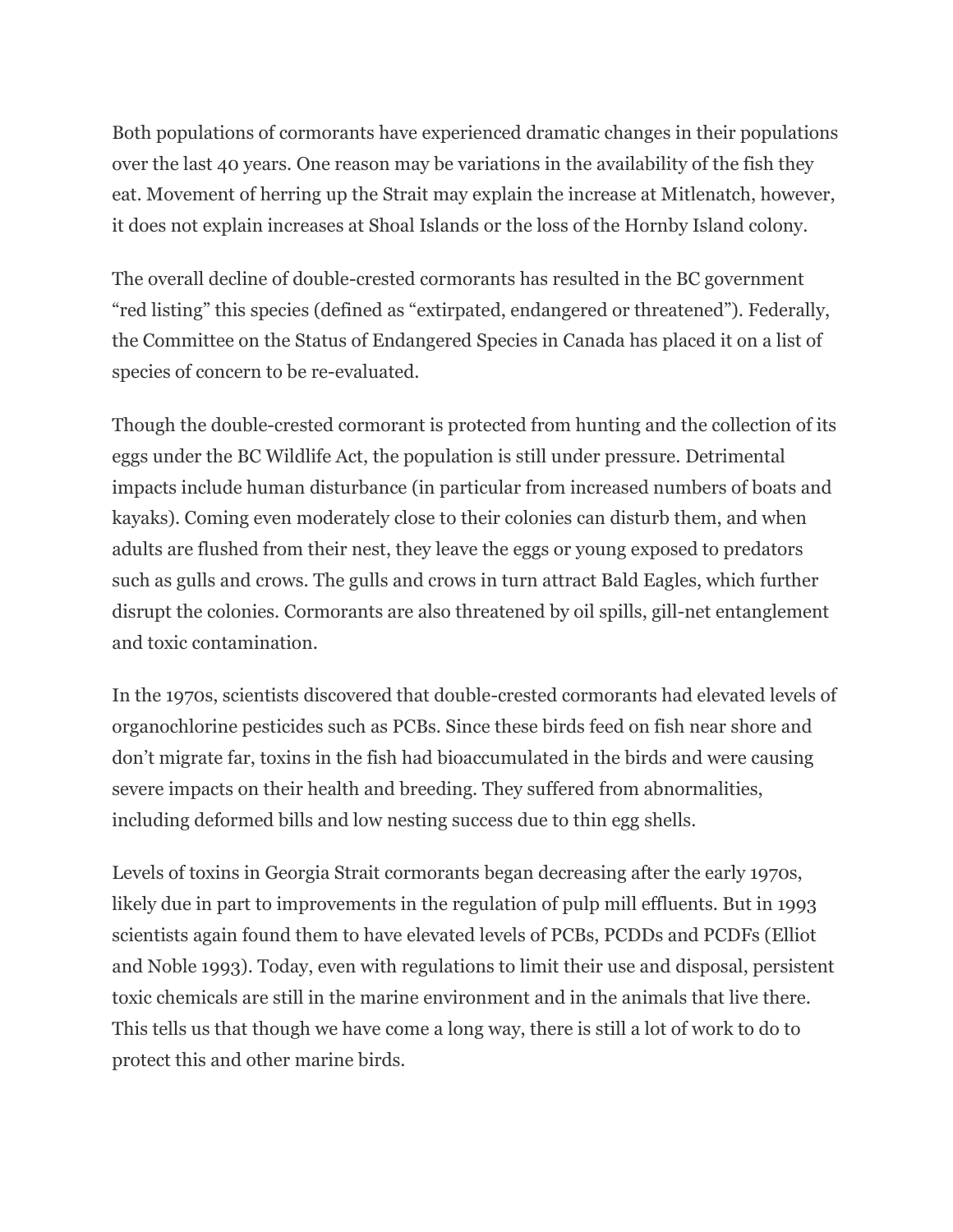Both populations of cormorants have experienced dramatic changes in their populations over the last 40 years. One reason may be variations in the availability of the fish they eat. Movement of herring up the Strait may explain the increase at Mitlenatch, however, it does not explain increases at Shoal Islands or the loss of the Hornby Island colony.

The overall decline of double-crested cormorants has resulted in the BC government "red listing" this species (defined as "extirpated, endangered or threatened"). Federally, the Committee on the Status of Endangered Species in Canada has placed it on a list of species of concern to be re-evaluated.

Though the double-crested cormorant is protected from hunting and the collection of its eggs under the BC Wildlife Act, the population is still under pressure. Detrimental impacts include human disturbance (in particular from increased numbers of boats and kayaks). Coming even moderately close to their colonies can disturb them, and when adults are flushed from their nest, they leave the eggs or young exposed to predators such as gulls and crows. The gulls and crows in turn attract Bald Eagles, which further disrupt the colonies. Cormorants are also threatened by oil spills, gill-net entanglement and toxic contamination.

In the 1970s, scientists discovered that double-crested cormorants had elevated levels of organochlorine pesticides such as PCBs. Since these birds feed on fish near shore and don't migrate far, toxins in the fish had bioaccumulated in the birds and were causing severe impacts on their health and breeding. They suffered from abnormalities, including deformed bills and low nesting success due to thin egg shells.

Levels of toxins in Georgia Strait cormorants began decreasing after the early 1970s, likely due in part to improvements in the regulation of pulp mill effluents. But in 1993 scientists again found them to have elevated levels of PCBs, PCDDs and PCDFs (Elliot and Noble 1993). Today, even with regulations to limit their use and disposal, persistent toxic chemicals are still in the marine environment and in the animals that live there. This tells us that though we have come a long way, there is still a lot of work to do to protect this and other marine birds.